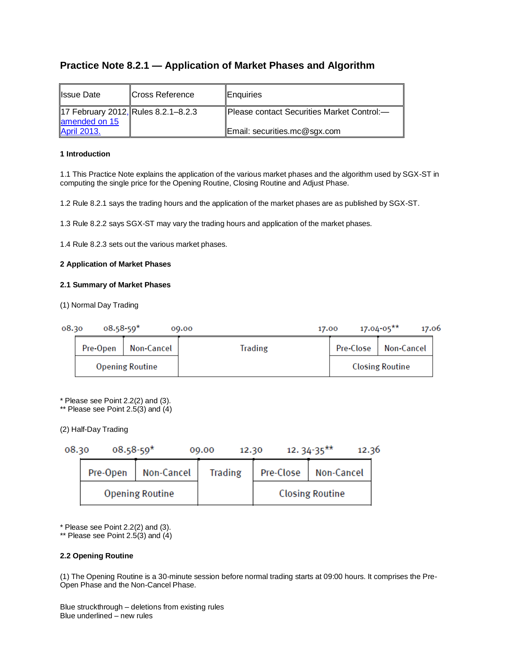# **Practice Note 8.2.1 — Application of Market Phases and Algorithm**

| <b>Issue Date</b>                                                          | <b>ICross Reference</b> | <b>IEnquiries</b>                                                          |
|----------------------------------------------------------------------------|-------------------------|----------------------------------------------------------------------------|
| 17 February 2012, Rules 8.2.1-8.2.3<br>amended on 15<br><b>April 2013.</b> |                         | Please contact Securities Market Control:-<br>Email: securities.mc@sgx.com |

# **1 Introduction**

1.1 This Practice Note explains the application of the various market phases and the algorithm used by SGX-ST in computing the single price for the Opening Routine, Closing Routine and Adjust Phase.

1.2 Rule 8.2.1 says the trading hours and the application of the market phases are as published by SGX-ST.

1.3 Rule 8.2.2 says SGX-ST may vary the trading hours and application of the market phases.

1.4 Rule 8.2.3 sets out the various market phases.

# **2 Application of Market Phases**

# **2.1 Summary of Market Phases**

(1) Normal Day Trading

| 08.30 | $08.58 - 59*$          |            | 00.00          | 17.00 | $17.04 - 05***$        | 17.06 |
|-------|------------------------|------------|----------------|-------|------------------------|-------|
|       | Pre-Open               | Non-Cancel | <b>Trading</b> |       | Pre-Close   Non-Cancel |       |
|       | <b>Opening Routine</b> |            |                |       | <b>Closing Routine</b> |       |

\* Please see Point 2.2(2) and (3).

\*\* Please see Point  $2.\overline{5(3)}$  and  $\overline{(4)}$ 

(2) Half-Day Trading

| 08.30 | $08.58 - 59*$ |                        | 09.00<br>12.30 |           | $12.34 - 35***$<br>12.36 |
|-------|---------------|------------------------|----------------|-----------|--------------------------|
|       | Pre-Open      | Non-Cancel             | <b>Trading</b> | Pre-Close | Non-Cancel               |
|       |               | <b>Opening Routine</b> |                |           | <b>Closing Routine</b>   |

 $*$  Please see Point 2.2(2) and (3).

\*\* Please see Point 2.5(3) and (4)

# **2.2 Opening Routine**

(1) The Opening Routine is a 30-minute session before normal trading starts at 09:00 hours. It comprises the Pre-Open Phase and the Non-Cancel Phase.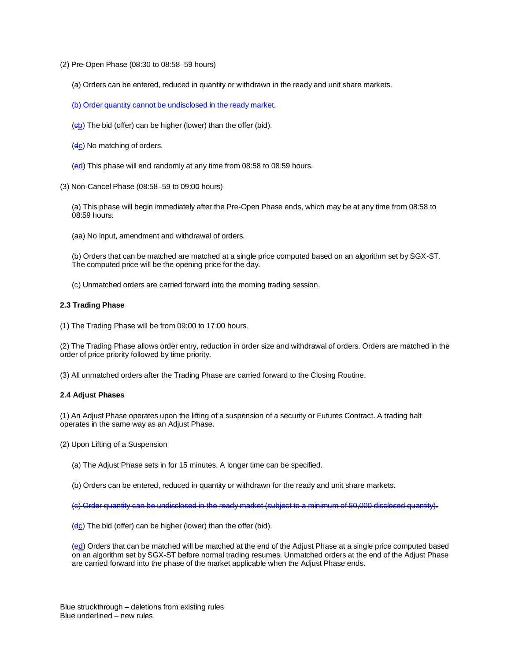(2) Pre-Open Phase (08:30 to 08:58–59 hours)

(a) Orders can be entered, reduced in quantity or withdrawn in the ready and unit share markets.

(b) Order quantity cannot be undisclosed in the ready market.

- $(eb)$  The bid (offer) can be higher (lower) than the offer (bid).
- (dc) No matching of orders.
- (ed) This phase will end randomly at any time from 08:58 to 08:59 hours.
- (3) Non-Cancel Phase (08:58–59 to 09:00 hours)

(a) This phase will begin immediately after the Pre-Open Phase ends, which may be at any time from 08:58 to 08:59 hours.

(aa) No input, amendment and withdrawal of orders.

(b) Orders that can be matched are matched at a single price computed based on an algorithm set by SGX-ST. The computed price will be the opening price for the day.

(c) Unmatched orders are carried forward into the morning trading session.

# **2.3 Trading Phase**

(1) The Trading Phase will be from 09:00 to 17:00 hours.

(2) The Trading Phase allows order entry, reduction in order size and withdrawal of orders. Orders are matched in the order of price priority followed by time priority.

(3) All unmatched orders after the Trading Phase are carried forward to the Closing Routine.

### **2.4 Adjust Phases**

(1) An Adjust Phase operates upon the lifting of a suspension of a security or Futures Contract. A trading halt operates in the same way as an Adjust Phase.

(2) Upon Lifting of a Suspension

(a) The Adjust Phase sets in for 15 minutes. A longer time can be specified.

(b) Orders can be entered, reduced in quantity or withdrawn for the ready and unit share markets.

(c) Order quantity can be undisclosed in the ready market (subject to a minimum of 50,000 disclosed quantity).

 $(d_c)$  The bid (offer) can be higher (lower) than the offer (bid).

(ed) Orders that can be matched will be matched at the end of the Adjust Phase at a single price computed based on an algorithm set by SGX-ST before normal trading resumes. Unmatched orders at the end of the Adjust Phase are carried forward into the phase of the market applicable when the Adjust Phase ends.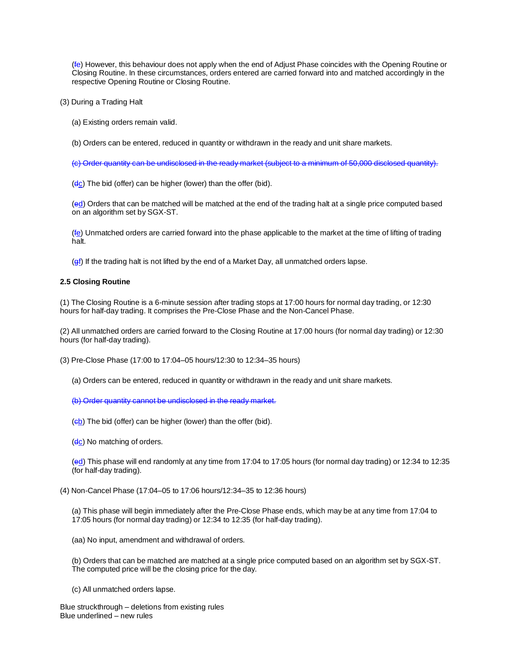(fe) However, this behaviour does not apply when the end of Adjust Phase coincides with the Opening Routine or Closing Routine. In these circumstances, orders entered are carried forward into and matched accordingly in the respective Opening Routine or Closing Routine.

(3) During a Trading Halt

(a) Existing orders remain valid.

(b) Orders can be entered, reduced in quantity or withdrawn in the ready and unit share markets.

(c) Order quantity can be undisclosed in the ready market (subject to a minimum of 50,000 disclosed quantity).

 $(d_c)$  The bid (offer) can be higher (lower) than the offer (bid).

(ed) Orders that can be matched will be matched at the end of the trading halt at a single price computed based on an algorithm set by SGX-ST.

 $(f<sub>e</sub>)$  Unmatched orders are carried forward into the phase applicable to the market at the time of lifting of trading halt.

(ef) If the trading halt is not lifted by the end of a Market Day, all unmatched orders lapse.

#### **2.5 Closing Routine**

(1) The Closing Routine is a 6-minute session after trading stops at 17:00 hours for normal day trading, or 12:30 hours for half-day trading. It comprises the Pre-Close Phase and the Non-Cancel Phase.

(2) All unmatched orders are carried forward to the Closing Routine at 17:00 hours (for normal day trading) or 12:30 hours (for half-day trading).

(3) Pre-Close Phase (17:00 to 17:04–05 hours/12:30 to 12:34–35 hours)

(a) Orders can be entered, reduced in quantity or withdrawn in the ready and unit share markets.

(b) Order quantity cannot be undisclosed in the ready market.

 $(eb)$  The bid (offer) can be higher (lower) than the offer (bid).

 $(dc)$  No matching of orders.

(ed) This phase will end randomly at any time from 17:04 to 17:05 hours (for normal day trading) or 12:34 to 12:35 (for half-day trading).

#### (4) Non-Cancel Phase (17:04–05 to 17:06 hours/12:34–35 to 12:36 hours)

(a) This phase will begin immediately after the Pre-Close Phase ends, which may be at any time from 17:04 to 17:05 hours (for normal day trading) or 12:34 to 12:35 (for half-day trading).

(aa) No input, amendment and withdrawal of orders.

(b) Orders that can be matched are matched at a single price computed based on an algorithm set by SGX-ST. The computed price will be the closing price for the day.

(c) All unmatched orders lapse.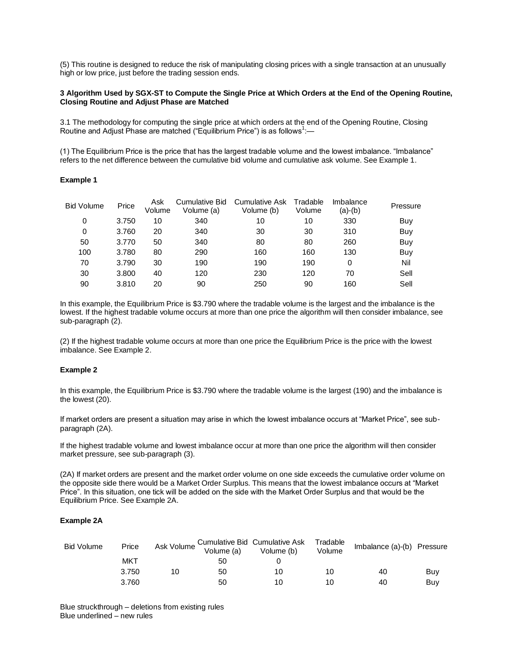(5) This routine is designed to reduce the risk of manipulating closing prices with a single transaction at an unusually high or low price, just before the trading session ends.

### **3 Algorithm Used by SGX-ST to Compute the Single Price at Which Orders at the End of the Opening Routine, Closing Routine and Adjust Phase are Matched**

3.1 The methodology for computing the single price at which orders at the end of the Opening Routine, Closing Routine and Adjust Phase are matched ("Equilibrium Price") is as follows<sup>1</sup>:-

(1) The Equilibrium Price is the price that has the largest tradable volume and the lowest imbalance. "Imbalance" refers to the net difference between the cumulative bid volume and cumulative ask volume. See Example 1.

#### **Example 1**

| <b>Bid Volume</b> | Price | Ask<br>Volume | <b>Cumulative Bid</b><br>Volume (a) | Cumulative Ask<br>Volume (b) | Tradable<br>Volume | Imbalance<br>(a)-(b) | Pressure |
|-------------------|-------|---------------|-------------------------------------|------------------------------|--------------------|----------------------|----------|
| 0                 | 3.750 | 10            | 340                                 | 10                           | 10                 | 330                  | Buy      |
| 0                 | 3.760 | 20            | 340                                 | 30                           | 30                 | 310                  | Buy      |
| 50                | 3.770 | 50            | 340                                 | 80                           | 80                 | 260                  | Buy      |
| 100               | 3.780 | 80            | 290                                 | 160                          | 160                | 130                  | Buy      |
| 70                | 3.790 | 30            | 190                                 | 190                          | 190                | 0                    | Nil      |
| 30                | 3.800 | 40            | 120                                 | 230                          | 120                | 70                   | Sell     |
| 90                | 3.810 | 20            | 90                                  | 250                          | 90                 | 160                  | Sell     |

In this example, the Equilibrium Price is \$3.790 where the tradable volume is the largest and the imbalance is the lowest. If the highest tradable volume occurs at more than one price the algorithm will then consider imbalance, see sub-paragraph (2).

(2) If the highest tradable volume occurs at more than one price the Equilibrium Price is the price with the lowest imbalance. See Example 2.

### **Example 2**

In this example, the Equilibrium Price is \$3.790 where the tradable volume is the largest (190) and the imbalance is the lowest (20).

If market orders are present a situation may arise in which the lowest imbalance occurs at "Market Price", see subparagraph (2A).

If the highest tradable volume and lowest imbalance occur at more than one price the algorithm will then consider market pressure, see sub-paragraph (3).

(2A) If market orders are present and the market order volume on one side exceeds the cumulative order volume on the opposite side there would be a Market Order Surplus. This means that the lowest imbalance occurs at "Market Price". In this situation, one tick will be added on the side with the Market Order Surplus and that would be the Equilibrium Price. See Example 2A.

# **Example 2A**

| <b>Bid Volume</b> | Price | Ask Volume | Volume (a) | Cumulative Bid Cumulative Ask<br>Volume (b) | Tradable<br>Volume | Imbalance (a)-(b) Pressure |     |
|-------------------|-------|------------|------------|---------------------------------------------|--------------------|----------------------------|-----|
|                   | MKT   |            | 50         |                                             |                    |                            |     |
|                   | 3.750 | 10         | 50         | 10                                          | 10                 | 40                         | Buy |
|                   | 3.760 |            | 50         | 10                                          | 10                 | 40                         | Buy |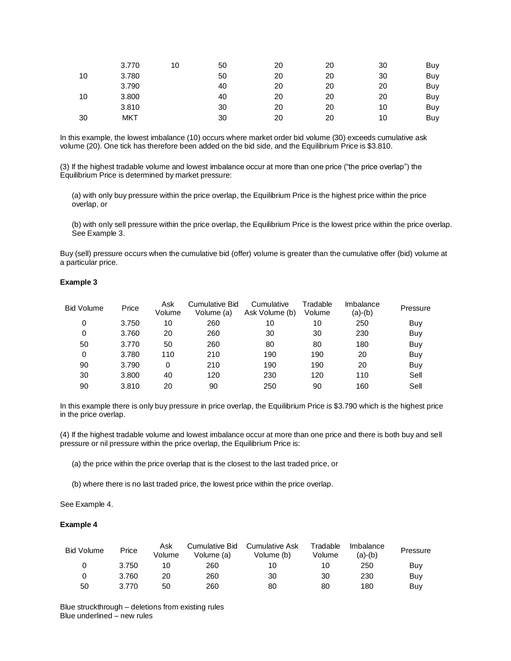|    | 3.770 | 10 | 50 | 20 | 20 | 30 | Buy |
|----|-------|----|----|----|----|----|-----|
| 10 | 3.780 |    | 50 | 20 | 20 | 30 | Buy |
|    | 3.790 |    | 40 | 20 | 20 | 20 | Buy |
| 10 | 3.800 |    | 40 | 20 | 20 | 20 | Buy |
|    | 3.810 |    | 30 | 20 | 20 | 10 | Buy |
| 30 | MKT   |    | 30 | 20 | 20 | 10 | Buy |

In this example, the lowest imbalance (10) occurs where market order bid volume (30) exceeds cumulative ask volume (20). One tick has therefore been added on the bid side, and the Equilibrium Price is \$3.810.

(3) If the highest tradable volume and lowest imbalance occur at more than one price ("the price overlap") the Equilibrium Price is determined by market pressure:

(a) with only buy pressure within the price overlap, the Equilibrium Price is the highest price within the price overlap, or

(b) with only sell pressure within the price overlap, the Equilibrium Price is the lowest price within the price overlap. See Example 3.

Buy (sell) pressure occurs when the cumulative bid (offer) volume is greater than the cumulative offer (bid) volume at a particular price.

#### **Example 3**

| <b>Bid Volume</b> | Price | Ask<br>Volume | <b>Cumulative Bid</b><br>Volume (a) | Cumulative<br>Ask Volume (b) | Tradable<br>Volume | Imbalance<br>(a)-(b) | Pressure |
|-------------------|-------|---------------|-------------------------------------|------------------------------|--------------------|----------------------|----------|
| 0                 | 3.750 | 10            | 260                                 | 10                           | 10                 | 250                  | Buy      |
| 0                 | 3.760 | 20            | 260                                 | 30                           | 30                 | 230                  | Buy      |
| 50                | 3.770 | 50            | 260                                 | 80                           | 80                 | 180                  | Buy      |
| 0                 | 3.780 | 110           | 210                                 | 190                          | 190                | 20                   | Buy      |
| 90                | 3.790 | 0             | 210                                 | 190                          | 190                | 20                   | Buy      |
| 30                | 3.800 | 40            | 120                                 | 230                          | 120                | 110                  | Sell     |
| 90                | 3.810 | 20            | 90                                  | 250                          | 90                 | 160                  | Sell     |

In this example there is only buy pressure in price overlap, the Equilibrium Price is \$3.790 which is the highest price in the price overlap.

(4) If the highest tradable volume and lowest imbalance occur at more than one price and there is both buy and sell pressure or nil pressure within the price overlap, the Equilibrium Price is:

(a) the price within the price overlap that is the closest to the last traded price, or

(b) where there is no last traded price, the lowest price within the price overlap.

See Example 4.

### **Example 4**

| <b>Bid Volume</b> | Price | Ask<br>Volume | Cumulative Bid<br>Volume (a) | Cumulative Ask<br>Volume (b) | Tradable<br>Volume | Imbalance<br>(a)-(b) | Pressure |
|-------------------|-------|---------------|------------------------------|------------------------------|--------------------|----------------------|----------|
|                   | 3.750 | 10            | 260                          | 10                           | 10                 | 250                  | Buy      |
|                   | 3.760 | 20            | 260                          | 30                           | 30                 | 230                  | Buy      |
| 50                | 3.770 | 50            | 260                          | 80                           | 80                 | 180                  | Buy      |